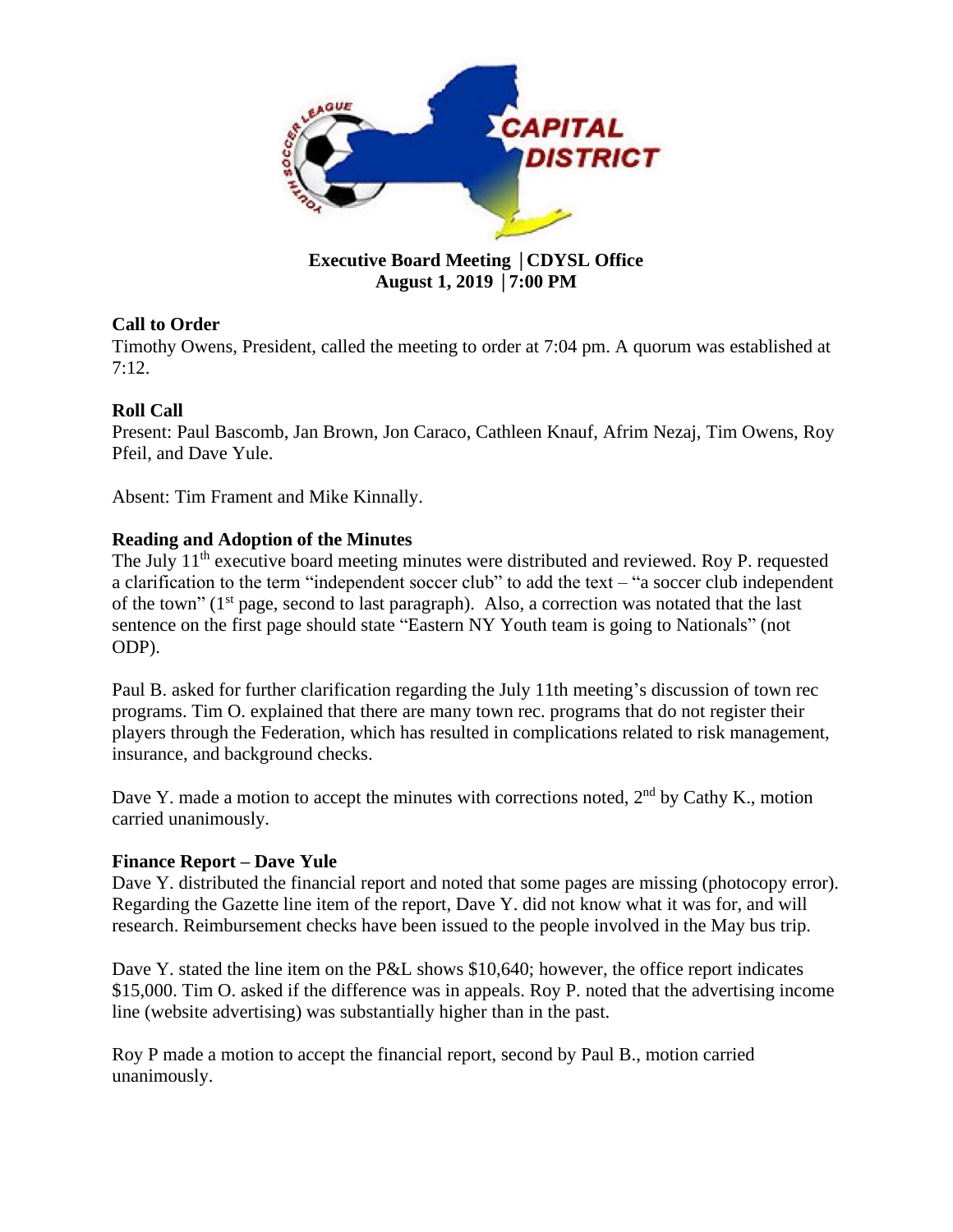

## **Executive Board Meeting** │**CDYSL Office August 1, 2019** │**7:00 PM**

# **Call to Order**

Timothy Owens, President, called the meeting to order at 7:04 pm. A quorum was established at 7:12.

# **Roll Call**

Present: Paul Bascomb, Jan Brown, Jon Caraco, Cathleen Knauf, Afrim Nezaj, Tim Owens, Roy Pfeil, and Dave Yule.

Absent: Tim Frament and Mike Kinnally.

## **Reading and Adoption of the Minutes**

The July 11<sup>th</sup> executive board meeting minutes were distributed and reviewed. Roy P. requested a clarification to the term "independent soccer club" to add the text – "a soccer club independent of the town" (1<sup>st</sup> page, second to last paragraph). Also, a correction was notated that the last sentence on the first page should state "Eastern NY Youth team is going to Nationals" (not ODP).

Paul B. asked for further clarification regarding the July 11th meeting's discussion of town rec programs. Tim O. explained that there are many town rec. programs that do not register their players through the Federation, which has resulted in complications related to risk management, insurance, and background checks.

Dave Y. made a motion to accept the minutes with corrections noted, 2<sup>nd</sup> by Cathy K., motion carried unanimously.

## **Finance Report – Dave Yule**

Dave Y. distributed the financial report and noted that some pages are missing (photocopy error). Regarding the Gazette line item of the report, Dave Y. did not know what it was for, and will research. Reimbursement checks have been issued to the people involved in the May bus trip.

Dave Y. stated the line item on the P&L shows \$10,640; however, the office report indicates \$15,000. Tim O. asked if the difference was in appeals. Roy P. noted that the advertising income line (website advertising) was substantially higher than in the past.

Roy P made a motion to accept the financial report, second by Paul B., motion carried unanimously.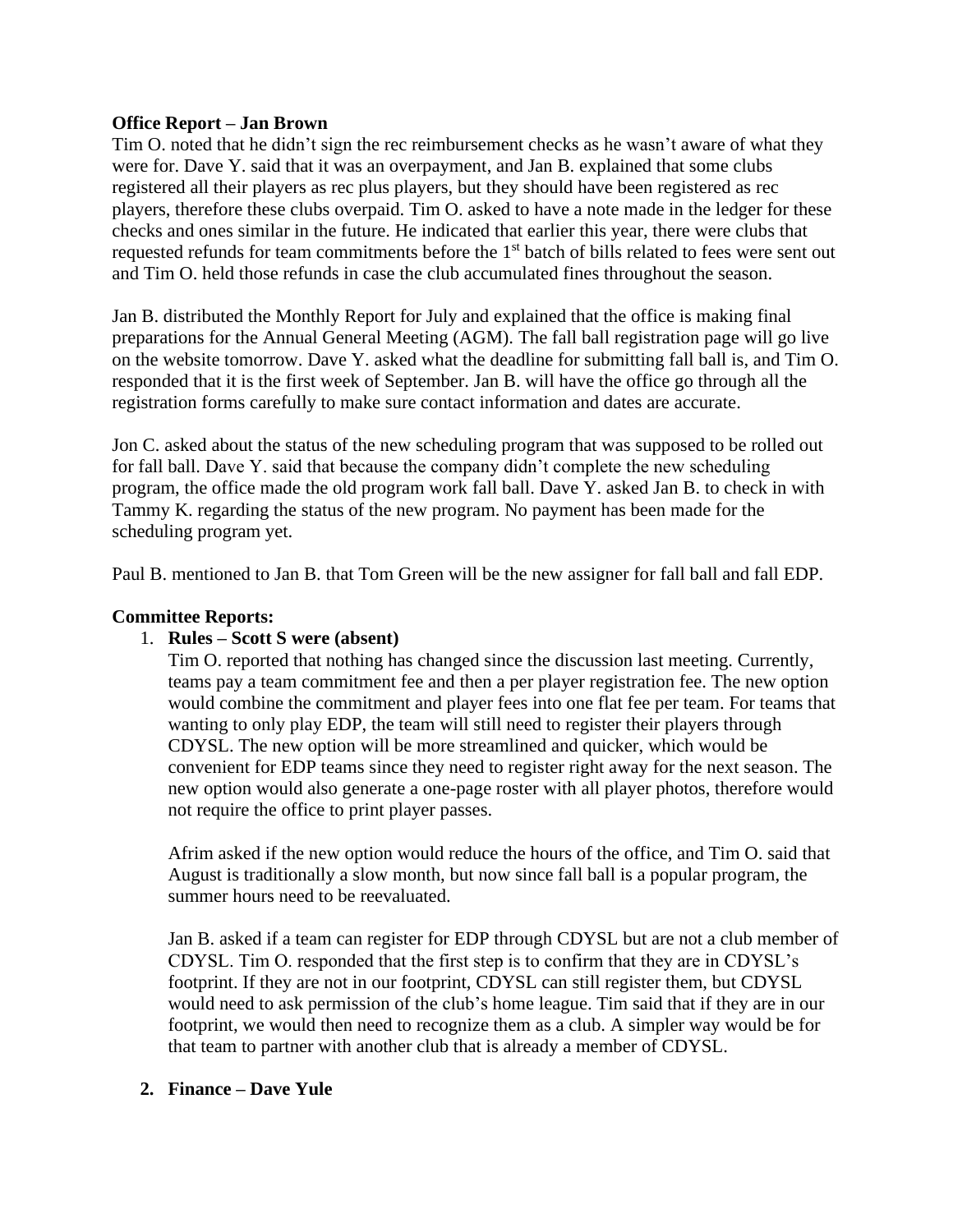### **Office Report – Jan Brown**

Tim O. noted that he didn't sign the rec reimbursement checks as he wasn't aware of what they were for. Dave Y. said that it was an overpayment, and Jan B. explained that some clubs registered all their players as rec plus players, but they should have been registered as rec players, therefore these clubs overpaid. Tim O. asked to have a note made in the ledger for these checks and ones similar in the future. He indicated that earlier this year, there were clubs that requested refunds for team commitments before the 1<sup>st</sup> batch of bills related to fees were sent out and Tim O. held those refunds in case the club accumulated fines throughout the season.

Jan B. distributed the Monthly Report for July and explained that the office is making final preparations for the Annual General Meeting (AGM). The fall ball registration page will go live on the website tomorrow. Dave Y. asked what the deadline for submitting fall ball is, and Tim O. responded that it is the first week of September. Jan B. will have the office go through all the registration forms carefully to make sure contact information and dates are accurate.

Jon C. asked about the status of the new scheduling program that was supposed to be rolled out for fall ball. Dave Y. said that because the company didn't complete the new scheduling program, the office made the old program work fall ball. Dave Y. asked Jan B. to check in with Tammy K. regarding the status of the new program. No payment has been made for the scheduling program yet.

Paul B. mentioned to Jan B. that Tom Green will be the new assigner for fall ball and fall EDP.

### **Committee Reports:**

## 1. **Rules – Scott S were (absent)**

Tim O. reported that nothing has changed since the discussion last meeting. Currently, teams pay a team commitment fee and then a per player registration fee. The new option would combine the commitment and player fees into one flat fee per team. For teams that wanting to only play EDP, the team will still need to register their players through CDYSL. The new option will be more streamlined and quicker, which would be convenient for EDP teams since they need to register right away for the next season. The new option would also generate a one-page roster with all player photos, therefore would not require the office to print player passes.

Afrim asked if the new option would reduce the hours of the office, and Tim O. said that August is traditionally a slow month, but now since fall ball is a popular program, the summer hours need to be reevaluated.

Jan B. asked if a team can register for EDP through CDYSL but are not a club member of CDYSL. Tim O. responded that the first step is to confirm that they are in CDYSL's footprint. If they are not in our footprint, CDYSL can still register them, but CDYSL would need to ask permission of the club's home league. Tim said that if they are in our footprint, we would then need to recognize them as a club. A simpler way would be for that team to partner with another club that is already a member of CDYSL.

### **2. Finance – Dave Yule**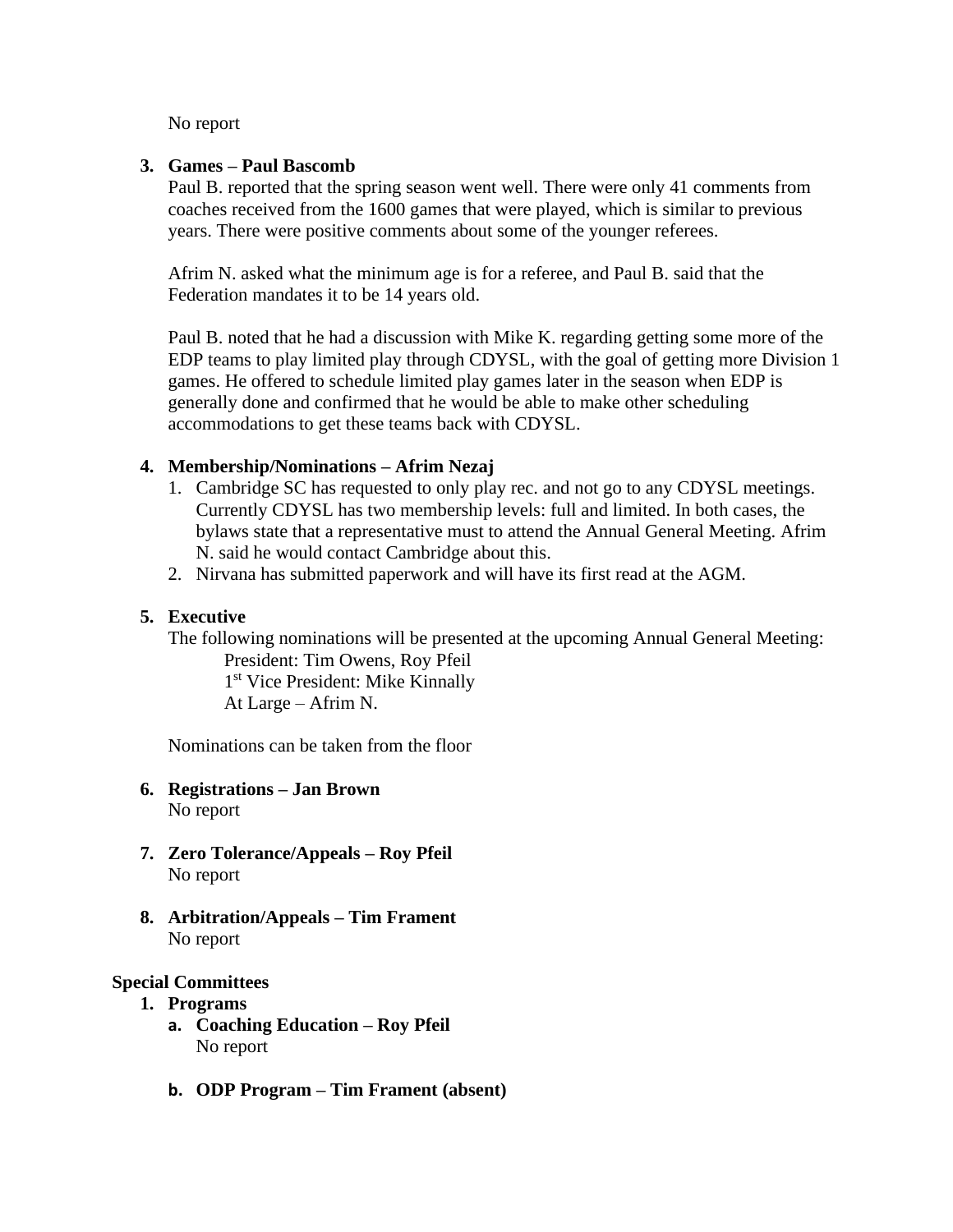No report

### **3. Games – Paul Bascomb**

Paul B. reported that the spring season went well. There were only 41 comments from coaches received from the 1600 games that were played, which is similar to previous years. There were positive comments about some of the younger referees.

Afrim N. asked what the minimum age is for a referee, and Paul B. said that the Federation mandates it to be 14 years old.

Paul B. noted that he had a discussion with Mike K. regarding getting some more of the EDP teams to play limited play through CDYSL, with the goal of getting more Division 1 games. He offered to schedule limited play games later in the season when EDP is generally done and confirmed that he would be able to make other scheduling accommodations to get these teams back with CDYSL.

### **4. Membership/Nominations – Afrim Nezaj**

- 1. Cambridge SC has requested to only play rec. and not go to any CDYSL meetings. Currently CDYSL has two membership levels: full and limited. In both cases, the bylaws state that a representative must to attend the Annual General Meeting. Afrim N. said he would contact Cambridge about this.
- 2. Nirvana has submitted paperwork and will have its first read at the AGM.

## **5. Executive**

The following nominations will be presented at the upcoming Annual General Meeting: President: Tim Owens, Roy Pfeil

1 st Vice President: Mike Kinnally At Large – Afrim N.

Nominations can be taken from the floor

- **6. Registrations – Jan Brown** No report
- **7. Zero Tolerance/Appeals – Roy Pfeil** No report
- **8. Arbitration/Appeals – Tim Frament**  No report

### **Special Committees**

- **1. Programs** 
	- **a. Coaching Education – Roy Pfeil** No report
	- **b. ODP Program – Tim Frament (absent)**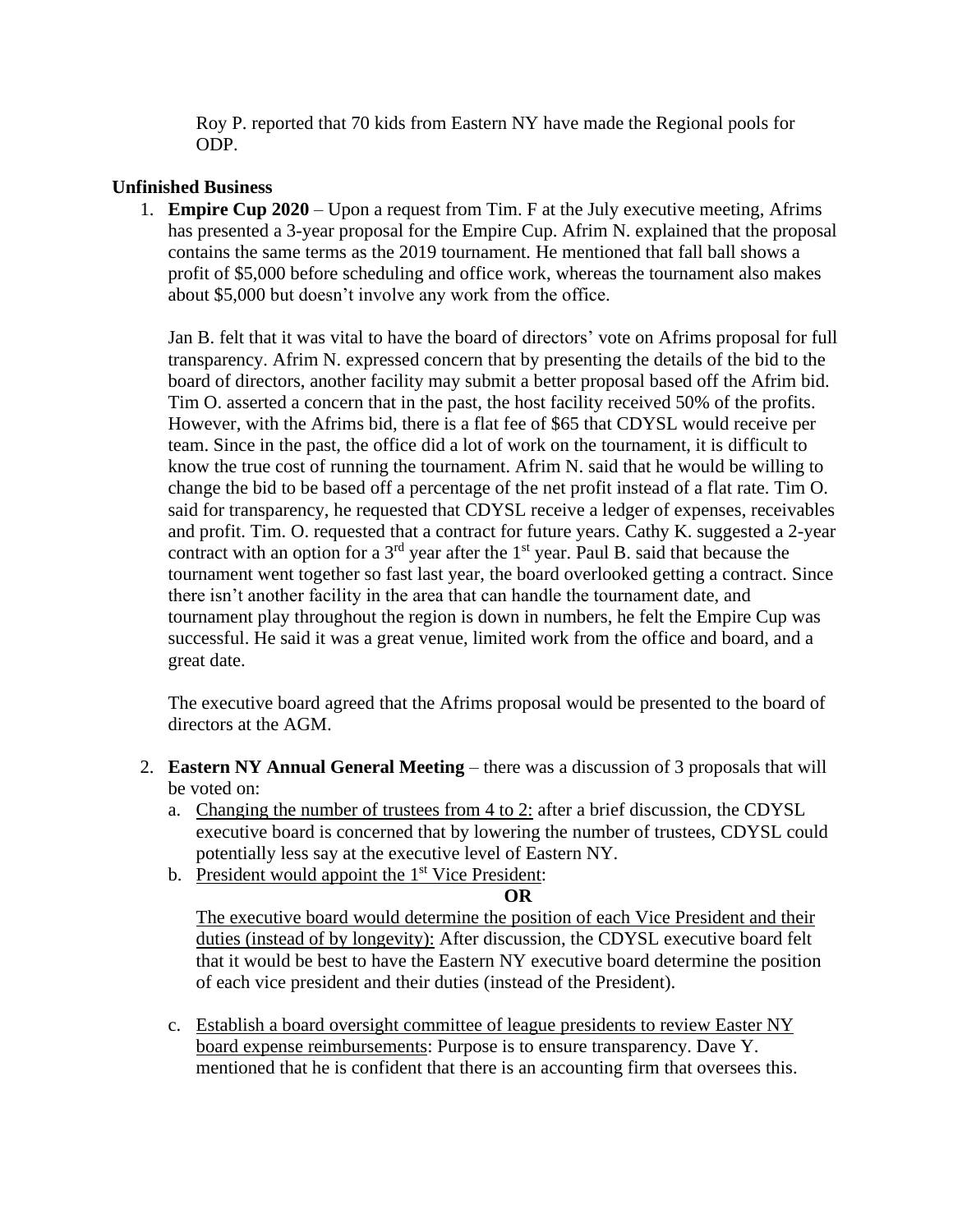Roy P. reported that 70 kids from Eastern NY have made the Regional pools for ODP.

## **Unfinished Business**

1. **Empire Cup 2020** – Upon a request from Tim. F at the July executive meeting, Afrims has presented a 3-year proposal for the Empire Cup. Afrim N. explained that the proposal contains the same terms as the 2019 tournament. He mentioned that fall ball shows a profit of \$5,000 before scheduling and office work, whereas the tournament also makes about \$5,000 but doesn't involve any work from the office.

Jan B. felt that it was vital to have the board of directors' vote on Afrims proposal for full transparency. Afrim N. expressed concern that by presenting the details of the bid to the board of directors, another facility may submit a better proposal based off the Afrim bid. Tim O. asserted a concern that in the past, the host facility received 50% of the profits. However, with the Afrims bid, there is a flat fee of \$65 that CDYSL would receive per team. Since in the past, the office did a lot of work on the tournament, it is difficult to know the true cost of running the tournament. Afrim N. said that he would be willing to change the bid to be based off a percentage of the net profit instead of a flat rate. Tim O. said for transparency, he requested that CDYSL receive a ledger of expenses, receivables and profit. Tim. O. requested that a contract for future years. Cathy K. suggested a 2-year contract with an option for a  $3<sup>rd</sup>$  year after the  $1<sup>st</sup>$  year. Paul B. said that because the tournament went together so fast last year, the board overlooked getting a contract. Since there isn't another facility in the area that can handle the tournament date, and tournament play throughout the region is down in numbers, he felt the Empire Cup was successful. He said it was a great venue, limited work from the office and board, and a great date.

The executive board agreed that the Afrims proposal would be presented to the board of directors at the AGM.

- 2. **Eastern NY Annual General Meeting** there was a discussion of 3 proposals that will be voted on:
	- a. Changing the number of trustees from  $4 \text{ to } 2$ : after a brief discussion, the CDYSL executive board is concerned that by lowering the number of trustees, CDYSL could potentially less say at the executive level of Eastern NY.
	- b. President would appoint the  $1<sup>st</sup>$  Vice President:

### **OR**

The executive board would determine the position of each Vice President and their duties (instead of by longevity): After discussion, the CDYSL executive board felt that it would be best to have the Eastern NY executive board determine the position of each vice president and their duties (instead of the President).

c. Establish a board oversight committee of league presidents to review Easter NY board expense reimbursements: Purpose is to ensure transparency. Dave Y. mentioned that he is confident that there is an accounting firm that oversees this.